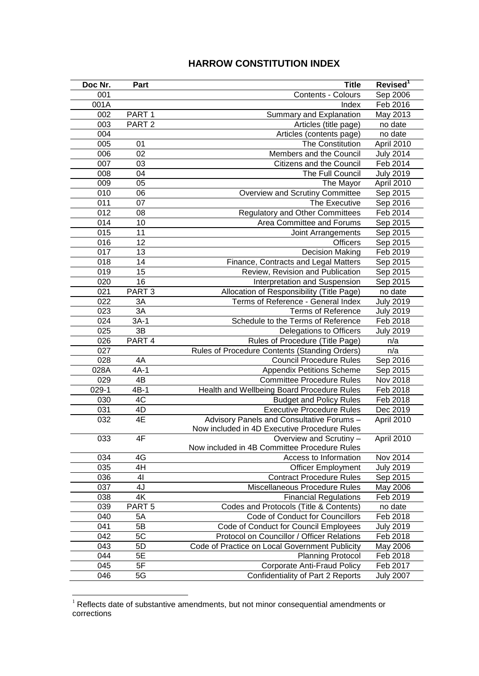## **HARROW CONSTITUTION INDEX**

| Doc Nr.   | Part              | <b>Title</b>                                                            | Revised <sup>1</sup> |
|-----------|-------------------|-------------------------------------------------------------------------|----------------------|
| 001       |                   | <b>Contents - Colours</b>                                               | Sep 2006             |
| 001A      |                   | Index                                                                   | Feb 2016             |
| 002       | PART <sub>1</sub> | <b>Summary and Explanation</b>                                          | May 2013             |
| 003       | PART <sub>2</sub> | Articles (title page)                                                   | no date              |
| 004       |                   | Articles (contents page)                                                | no date              |
| 005       | 01                | The Constitution                                                        | April 2010           |
| 006       | $\overline{02}$   | Members and the Council                                                 | <b>July 2014</b>     |
| 007       | 03                | Citizens and the Council                                                | Feb 2014             |
| 008       | 04                | The Full Council                                                        | <b>July 2019</b>     |
| 009       | 05                | The Mayor                                                               | April 2010           |
| 010       | 06                | Overview and Scrutiny Committee                                         | Sep 2015             |
| 011       | 07                | The Executive                                                           | Sep 2016             |
| 012       | 08                | <b>Regulatory and Other Committees</b>                                  | Feb 2014             |
| 014       | 10                | Area Committee and Forums                                               | Sep 2015             |
| 015       | 11                | Joint Arrangements                                                      | Sep 2015             |
| 016       | 12                | Officers                                                                | Sep 2015             |
| 017       | 13                | <b>Decision Making</b>                                                  | Feb 2019             |
| 018       | 14                | Finance, Contracts and Legal Matters                                    | Sep 2015             |
| 019       | 15                | Review, Revision and Publication                                        | Sep 2015             |
| 020       | 16                | Interpretation and Suspension                                           | Sep 2015             |
| 021       | PART <sub>3</sub> | Allocation of Responsibility (Title Page)                               | no date              |
| 022       | 3A                | Terms of Reference - General Index                                      | <b>July 2019</b>     |
| 023       | 3A                | <b>Terms of Reference</b>                                               | <b>July 2019</b>     |
| 024       | $3A-1$            | Schedule to the Terms of Reference                                      | Feb 2018             |
| 025       | 3B                | Delegations to Officers                                                 | <b>July 2019</b>     |
| 026       | PART <sub>4</sub> | Rules of Procedure (Title Page)                                         | n/a                  |
| 027       |                   | Rules of Procedure Contents (Standing Orders)                           | n/a                  |
| 028       | 4A                | <b>Council Procedure Rules</b>                                          | Sep 2016             |
| 028A      | $4A-1$            | <b>Appendix Petitions Scheme</b>                                        | Sep 2015             |
| 029       | 4B                | <b>Committee Procedure Rules</b>                                        | Nov 2018             |
| $029 - 1$ | $4B-1$            | Health and Wellbeing Board Procedure Rules                              | Feb 2018             |
| 030       | 4C                | <b>Budget and Policy Rules</b>                                          | Feb 2018             |
| 031       | 4D                | <b>Executive Procedure Rules</b>                                        | Dec 2019             |
| 032       | 4E                | Advisory Panels and Consultative Forums -                               | April 2010           |
|           |                   | Now included in 4D Executive Procedure Rules                            | April 2010           |
| 033       | 4⊦                | Overview and Scrutiny -<br>Now included in 4B Committee Procedure Rules |                      |
| 034       | 4G                | Access to Information                                                   | Nov 2014             |
| 035       | 4H                | <b>Officer Employment</b>                                               | <b>July 2019</b>     |
| 036       | 41                | <b>Contract Procedure Rules</b>                                         | Sep 2015             |
| 037       | 4J                | Miscellaneous Procedure Rules                                           | May 2006             |
| 038       | 4K                | <b>Financial Regulations</b>                                            | Feb 2019             |
| 039       | PART <sub>5</sub> | Codes and Protocols (Title & Contents)                                  | no date              |
| 040       | 5A                | Code of Conduct for Councillors                                         | Feb 2018             |
| 041       | 5B                | Code of Conduct for Council Employees                                   | <b>July 2019</b>     |
| 042       | 5C                | Protocol on Councillor / Officer Relations                              | Feb 2018             |
| 043       | 5D                | Code of Practice on Local Government Publicity                          | May 2006             |
| 044       | 5E                | <b>Planning Protocol</b>                                                | Feb 2018             |
| 045       | 5F                | <b>Corporate Anti-Fraud Policy</b>                                      | Feb 2017             |
| 046       | 5G                | Confidentiality of Part 2 Reports                                       | <b>July 2007</b>     |

 Reflects date of substantive amendments, but not minor consequential amendments or corrections

<u>.</u>